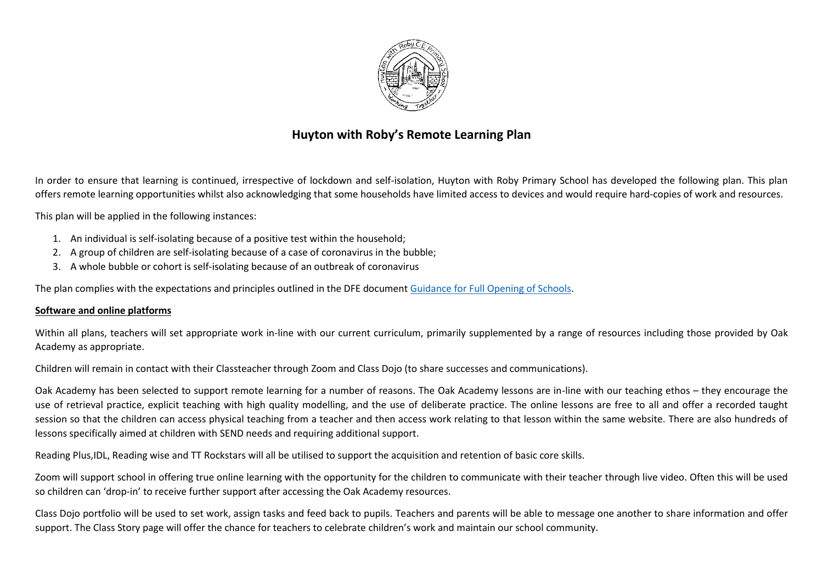

## **Huyton with Roby's Remote Learning Plan**

In order to ensure that learning is continued, irrespective of lockdown and self-isolation, Huyton with Roby Primary School has developed the following plan. This plan offers remote learning opportunities whilst also acknowledging that some households have limited access to devices and would require hard-copies of work and resources.

This plan will be applied in the following instances:

- 1. An individual is self-isolating because of a positive test within the household;
- 2. A group of children are self-isolating because of a case of coronavirus in the bubble;
- 3. A whole bubble or cohort is self-isolating because of an outbreak of coronavirus

The plan complies with the expectations and principles outlined in the DFE documen[t Guidance for Full Opening of Schools.](https://www.gov.uk/government/publications/actions-for-schools-during-the-coronavirus-outbreak/guidance-for-full-opening-schools#res)

## **Software and online platforms**

Within all plans, teachers will set appropriate work in-line with our current curriculum, primarily supplemented by a range of resources including those provided by Oak Academy as appropriate.

Children will remain in contact with their Classteacher through Zoom and Class Dojo (to share successes and communications).

Oak Academy has been selected to support remote learning for a number of reasons. The Oak Academy lessons are in-line with our teaching ethos – they encourage the use of retrieval practice, explicit teaching with high quality modelling, and the use of deliberate practice. The online lessons are free to all and offer a recorded taught session so that the children can access physical teaching from a teacher and then access work relating to that lesson within the same website. There are also hundreds of lessons specifically aimed at children with SEND needs and requiring additional support.

Reading Plus,IDL, Reading wise and TT Rockstars will all be utilised to support the acquisition and retention of basic core skills.

Zoom will support school in offering true online learning with the opportunity for the children to communicate with their teacher through live video. Often this will be used so children can 'drop-in' to receive further support after accessing the Oak Academy resources.

Class Dojo portfolio will be used to set work, assign tasks and feed back to pupils. Teachers and parents will be able to message one another to share information and offer support. The Class Story page will offer the chance for teachers to celebrate children's work and maintain our school community.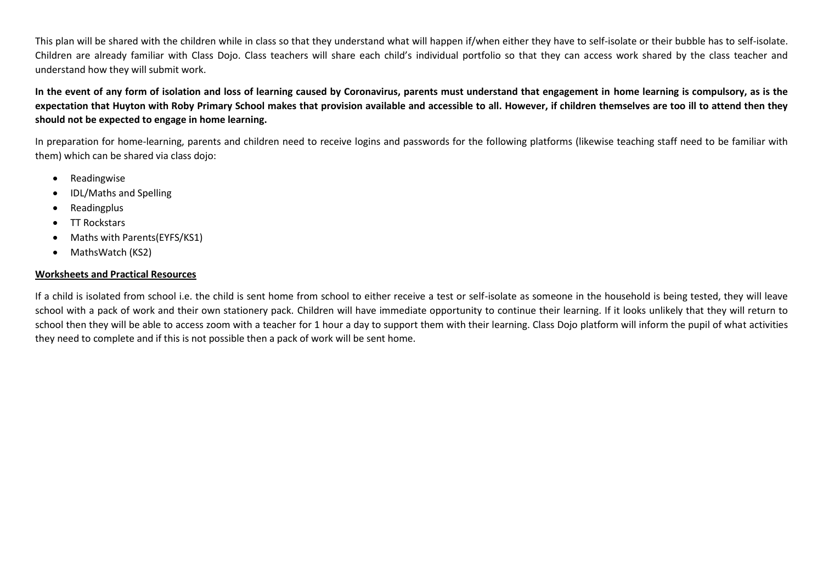This plan will be shared with the children while in class so that they understand what will happen if/when either they have to self-isolate or their bubble has to self-isolate. Children are already familiar with Class Dojo. Class teachers will share each child's individual portfolio so that they can access work shared by the class teacher and understand how they will submit work.

**In the event of any form of isolation and loss of learning caused by Coronavirus, parents must understand that engagement in home learning is compulsory, as is the expectation that Huyton with Roby Primary School makes that provision available and accessible to all. However, if children themselves are too ill to attend then they should not be expected to engage in home learning.**

In preparation for home-learning, parents and children need to receive logins and passwords for the following platforms (likewise teaching staff need to be familiar with them) which can be shared via class dojo:

- Readingwise
- IDL/Maths and Spelling
- Readingplus
- TT Rockstars
- Maths with Parents(EYFS/KS1)
- MathsWatch (KS2)

## **Worksheets and Practical Resources**

If a child is isolated from school i.e. the child is sent home from school to either receive a test or self-isolate as someone in the household is being tested, they will leave school with a pack of work and their own stationery pack. Children will have immediate opportunity to continue their learning. If it looks unlikely that they will return to school then they will be able to access zoom with a teacher for 1 hour a day to support them with their learning. Class Dojo platform will inform the pupil of what activities they need to complete and if this is not possible then a pack of work will be sent home.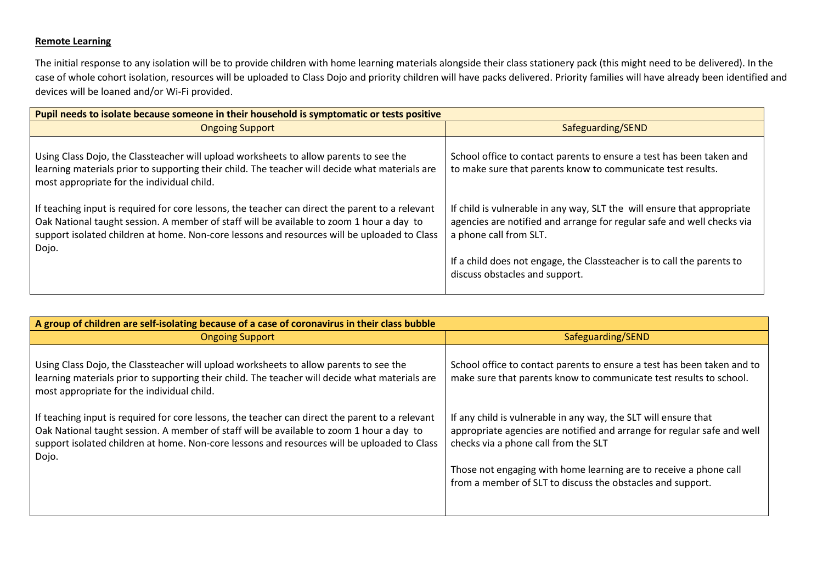## **Remote Learning**

The initial response to any isolation will be to provide children with home learning materials alongside their class stationery pack (this might need to be delivered). In the case of whole cohort isolation, resources will be uploaded to Class Dojo and priority children will have packs delivered. Priority families will have already been identified and devices will be loaned and/or Wi-Fi provided.

| Pupil needs to isolate because someone in their household is symptomatic or tests positive                                                                                                                                                                                                          |                                                                                                                                                                                                                                                                                         |  |
|-----------------------------------------------------------------------------------------------------------------------------------------------------------------------------------------------------------------------------------------------------------------------------------------------------|-----------------------------------------------------------------------------------------------------------------------------------------------------------------------------------------------------------------------------------------------------------------------------------------|--|
| <b>Ongoing Support</b>                                                                                                                                                                                                                                                                              | Safeguarding/SEND                                                                                                                                                                                                                                                                       |  |
| Using Class Dojo, the Classteacher will upload worksheets to allow parents to see the<br>learning materials prior to supporting their child. The teacher will decide what materials are<br>most appropriate for the individual child.                                                               | School office to contact parents to ensure a test has been taken and<br>to make sure that parents know to communicate test results.                                                                                                                                                     |  |
| If teaching input is required for core lessons, the teacher can direct the parent to a relevant<br>Oak National taught session. A member of staff will be available to zoom 1 hour a day to<br>support isolated children at home. Non-core lessons and resources will be uploaded to Class<br>Dojo. | If child is vulnerable in any way, SLT the will ensure that appropriate<br>agencies are notified and arrange for regular safe and well checks via<br>a phone call from SLT.<br>If a child does not engage, the Classteacher is to call the parents to<br>discuss obstacles and support. |  |

| A group of children are self-isolating because of a case of coronavirus in their class bubble                                                                                                                                                                                                       |                                                                                                                                                                                                                                                                                                                       |  |
|-----------------------------------------------------------------------------------------------------------------------------------------------------------------------------------------------------------------------------------------------------------------------------------------------------|-----------------------------------------------------------------------------------------------------------------------------------------------------------------------------------------------------------------------------------------------------------------------------------------------------------------------|--|
| <b>Ongoing Support</b>                                                                                                                                                                                                                                                                              | Safeguarding/SEND                                                                                                                                                                                                                                                                                                     |  |
| Using Class Dojo, the Classteacher will upload worksheets to allow parents to see the<br>learning materials prior to supporting their child. The teacher will decide what materials are<br>most appropriate for the individual child.                                                               | School office to contact parents to ensure a test has been taken and to<br>make sure that parents know to communicate test results to school.                                                                                                                                                                         |  |
| If teaching input is required for core lessons, the teacher can direct the parent to a relevant<br>Oak National taught session. A member of staff will be available to zoom 1 hour a day to<br>support isolated children at home. Non-core lessons and resources will be uploaded to Class<br>Dojo. | If any child is vulnerable in any way, the SLT will ensure that<br>appropriate agencies are notified and arrange for regular safe and well<br>checks via a phone call from the SLT<br>Those not engaging with home learning are to receive a phone call<br>from a member of SLT to discuss the obstacles and support. |  |